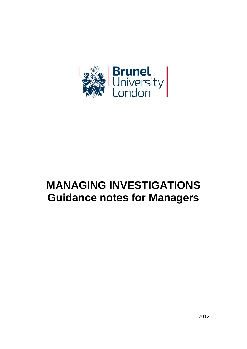

# **MANAGING INVESTIGATIONS Guidance notes for Managers**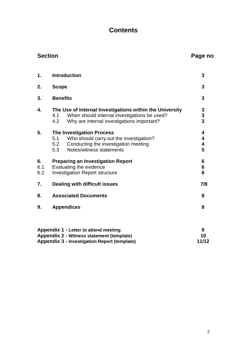# **Contents**

# **Section Page no Section** Page no

| 1.               | <b>Introduction</b>                                                                                          |                                                                                                                                                        | 3                         |
|------------------|--------------------------------------------------------------------------------------------------------------|--------------------------------------------------------------------------------------------------------------------------------------------------------|---------------------------|
| 2.               | <b>Scope</b>                                                                                                 |                                                                                                                                                        | 3                         |
| 3.               | <b>Benefits</b>                                                                                              |                                                                                                                                                        | 3                         |
| 4.               | 4.1<br>4.2                                                                                                   | The Use of Internal Investigations within the University<br>When should internal investigations be used?<br>Why are internal investigations important? | $\frac{3}{3}$             |
| 5.               | 5.1<br>5.2<br>5.3                                                                                            | <b>The Investigation Process</b><br>Who should carry out the investigation?<br>Conducting the investigation meeting<br>Notes/witness statements        | 4<br>4<br>4<br>5          |
| 6.<br>6.1<br>6.2 | <b>Preparing an Investigation Report</b><br>Evaluating the evidence<br><b>Investigation Report structure</b> |                                                                                                                                                        | 6<br>6<br>$6\phantom{1}6$ |
| 7.               | <b>Dealing with difficult issues</b>                                                                         |                                                                                                                                                        | 7/8                       |
| 8.               | <b>Associated Documents</b>                                                                                  |                                                                                                                                                        | 8                         |
| 9.               |                                                                                                              | <b>Appendices</b>                                                                                                                                      | 8                         |
|                  |                                                                                                              |                                                                                                                                                        |                           |
|                  |                                                                                                              |                                                                                                                                                        |                           |

| Appendix 1 - Letter to attend meeting        |       |
|----------------------------------------------|-------|
| Appendix 2 - Witness statement (template)    | 10    |
| Appendix 3 - Investigation Report (template) | 11/12 |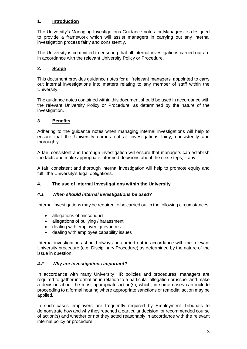# **1. Introduction**

The University's Managing Investigations Guidance notes for Managers, is designed to provide a framework which will assist managers in carrying out any internal investigation process fairly and consistently.

The University is committed to ensuring that all internal investigations carried out are in accordance with the relevant University Policy or Procedure.

# **2. Scope**

This document provides guidance notes for all 'relevant managers' appointed to carry out internal investigations into matters relating to any member of staff within the University.

The guidance notes contained within this document should be used in accordance with the relevant University Policy or Procedure, as determined by the nature of the investigation.

# **3. Benefits**

Adhering to the guidance notes when managing internal investigations will help to ensure that the University carries out all investigations fairly, consistently and thoroughly.

A fair, consistent and thorough investigation will ensure that managers can establish the facts and make appropriate informed decisions about the next steps, if any.

A fair, consistent and thorough internal investigation will help to promote equity and fulfil the University's legal obligations.

# **4. The use of internal Investigations within the University**

# *4.1 When should internal investigations be used?*

Internal investigations may be required to be carried out in the following circumstances:

- allegations of misconduct
- allegations of bullying / harassment
- dealing with employee grievances
- dealing with employee capability issues

Internal investigations should always be carried out in accordance with the relevant University procedure (e.g. Disciplinary Procedure) as determined by the nature of the issue in question.

# *4.2 Why are investigations important?*

In accordance with many University HR policies and procedures, managers are required to gather information in relation to a particular allegation or issue, and make a decision about the most appropriate action(s), which, in some cases can include proceeding to a formal hearing where appropriate sanctions or remedial action may be applied.

In such cases employers are frequently required by Employment Tribunals to demonstrate how and why they reached a particular decision, or recommended course of action(s) and whether or not they acted reasonably in accordance with the relevant internal policy or procedure.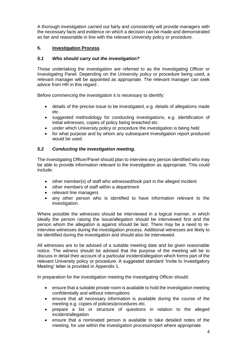A thorough investigation carried out fairly and consistently will provide managers with the necessary facts and evidence on which a decision can be made and demonstrated as fair and reasonable in line with the relevant University policy or procedure.

# **5. Investigation Process**

# *5.1 Who should carry out the investigation?*

Those undertaking the investigation are referred to as the Investigating Officer or Investigating Panel. Depending on the University policy or procedure being used, a relevant manager will be appointed as appropriate. The relevant manager can seek advice from HR in this regard .

Before commencing the investigation it is necessary to identify:

- details of the precise issue to be investigated, e.g. details of allegations made etc.
- suggested methodology for conducting investigations, e.g. identification of initial witnesses, copies of policy being breached etc.
- under which University policy or procedure the investigation is being held
- for what purpose and by whom any subsequent Investigation report produced would be used.

# *5.2 Conducting the investigation meeting.*

The Investigating Officer/Panel should plan to interview any person identified who may be able to provide information relevant to the investigation as appropriate. This could include:

- other member(s) of staff who witnessed/took part in the alleged incident
- other members of staff within a department
- relevant line managers
- any other person who is identified to have information relevant to the investigation.

Where possible the witnesses should be interviewed in a logical manner, in which ideally the person raising the issue/allegation should be interviewed first and the person whom the allegation is against should be last. There may be a need to reinterview witnesses during the investigation process. Additional witnesses are likely to be identified during the investigation and should also be interviewed.

All witnesses are to be advised of a suitable meeting date and be given reasonable notice. The witness should be advised that the purpose of the meeting will be to discuss in detail their account of a particular incident/allegation which forms part of the relevant University policy or procedure. A suggested standard 'Invite to Investigatory Meeting' letter is provided in Appendix 1.

In preparation for the investigation meeting the Investigating Officer should:

- ensure that a suitable private room is available to hold the investigation meeting confidentially and without interruptions
- ensure that all necessary information is available during the course of the meeting e.g. copies of policies/procedures etc.
- prepare a list or structure of questions in relation to the alleged incident/allegation
- ensure that a nominated person is available to take detailed notes of the meeting, for use within the investigation process/report where appropriate.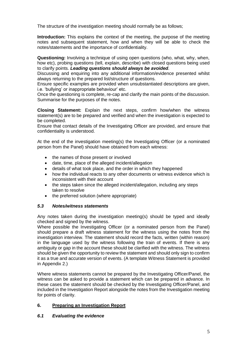The structure of the investigation meeting should normally be as follows;

**Introduction:** This explains the context of the meeting, the purpose of the meeting notes and subsequent statement, how and when they will be able to check the notes/statements and the importance of confidentiality.

**Questioning:** Involving a technique of using open questions (who, what, why, when, how etc), probing questions (tell, explain, describe) with closed questions being used to clarify points. *Leading questions should always be avoided.*

Discussing and enquiring into any additional information/evidence presented whilst always returning to the prepared list/structure of questions.

Ensure specific examples are provided when unsubstantiated descriptions are given, i.e. 'bullying' or inappropriate behaviour' etc.

Once the questioning is complete, re-cap and clarify the main points of the discussion. Summarise for the purposes of the notes.

**Closing Statement:** Explain the next steps, confirm how/when the witness statement(s) are to be prepared and verified and when the investigation is expected to be completed.

Ensure that contact details of the Investigating Officer are provided, and ensure that confidentiality is understood.

At the end of the investigation meeting(s) the Investigating Officer (or a nominated person from the Panel) should have obtained from each witness:

- the names of those present or involved
- date, time, place of the alleged incident/allegation
- details of what took place, and the order in which they happened
- how the individual reacts to any other documents or witness evidence which is inconsistent with their account
- the steps taken since the alleged incident/allegation, including any steps taken to resolve
- the preferred solution (where appropriate)

# *5.3 Notes/witness statements*

Any notes taken during the investigation meeting(s) should be typed and ideally checked and signed by the witness.

Where possible the Investigating Officer (or a nominated person from the Panel) should prepare a draft witness statement for the witness using the notes from the investigation interview. The statement should record the facts, written (within reason) in the language used by the witness following the train of events. If there is any ambiguity or gap in the account these should be clarified with the witness. The witness should be given the opportunity to review the statement and should only sign to confirm it as a true and accurate version of events. (A template Witness Statement is provided in Appendix 2.)

Where witness statements cannot be prepared by the Investigating Officer/Panel, the witness can be asked to provide a statement which can be prepared in advance. In these cases the statement should be checked by the Investigating Officer/Panel, and included in the Investigation Report alongside the notes from the Investigation meeting for points of clarity.

# **6. Preparing an Investigation Report**

# *6.1 Evaluating the evidence*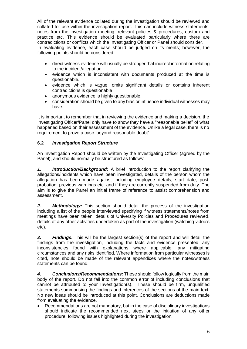All of the relevant evidence collated during the investigation should be reviewed and collated for use within the investigation report. This can include witness statements, notes from the investigation meeting, relevant policies & procedures, custom and practice etc. This evidence should be evaluated particularly where there are contradictions or conflicts which the Investigating Officer or Panel should consider. In evaluating evidence, each case should be judged on its merits; however, the following points should be considered:

- direct witness evidence will usually be stronger that indirect information relating to the incident/allegation
- evidence which is inconsistent with documents produced at the time is questionable.
- evidence which is vague, omits significant details or contains inherent contradictions is questionable
- anonymous evidence is highly questionable.
- consideration should be given to any bias or influence individual witnesses may have.

It is important to remember that in reviewing the evidence and making a decision, the Investigating Officer/Panel only have to show they have a "reasonable belief" of what happened based on their assessment of the evidence. Unlike a legal case, there is no requirement to prove a case 'beyond reasonable doubt'.

# **6.2** *Investigation Report Structure*

An Investigation Report should be written by the Investigating Officer (agreed by the Panel), and should normally be structured as follows:

*1. Introduction/Background:* A brief introduction to the report clarifying the allegations/incidents which have been investigated, details of the person whom the allegation has been made against including employee details, start date, post, probation, previous warnings etc. and if they are currently suspended from duty. The aim is to give the Panel an initial frame of reference to assist comprehension and assessment.

*2. Methodology:* This section should detail the process of the investigation including a list of the people interviewed specifying if witness statements/notes from meetings have been taken, details of University Policies and Procedures reviewed, details of any other activities undertaken as part of the investigation (watching video's etc).

*3. Findings:* This will be the largest section(s) of the report and will detail the findings from the investigation, including the facts and evidence presented, any inconsistencies found with explanations where applicable, any mitigating circumstances and any risks identified. Where information from particular witnesses is cited, note should be made of the relevant appendices where the notes/witness statements can be found.

*4. Conclusions/Recommendations:* These should follow logically from the main body of the report. Do not fall into the common error of including conclusions that cannot be attributed to your Investigation(s). These should be firm, unqualified statements summarising the findings and inferences of the sections of the main text. No new ideas should be introduced at this point. Conclusions are deductions made from evaluating the evidence.

• Recommendations are not mandatory, but in the case of disciplinary investigations should indicate the recommended next steps or the initiation of any other procedure, following issues highlighted during the investigation.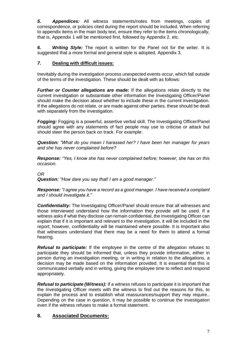*5. Appendices:* All witness statements/notes from meetings, copies of correspondence, or policies cited during the report should be included. When referring to appendix items in the main body text, ensure they refer to the items chronologically, that is, Appendix 1 will be mentioned first, followed by Appendix 2, etc.

*6. Writing Style:* The report is written for the Panel not for the writer. It is suggested that a more formal and general style is adopted, Appendix 3.

# *7.* **Dealing with difficult issues:**

Inevitably during the investigation process unexpected events occur, which fall outside of the terms of the investigation. These should be dealt with as follows:

*Further or Counter allegations are made:* If the allegations relate directly to the current investigation or substantiate other information the Investigating Officer/Panel should make the decision about whether to include these in the current investigation. If the allegations do not relate, or are made against other parties, these should be dealt with separately from the investigation.

*Fogging:* Fogging is a powerful, assertive verbal skill. The Investigating Officer/Panel should agree with any statements of fact people may use to criticise or attack but should steer the person back on track. For example:

*Question: "What do you mean I harassed her? I have been her manager for years and she has never complained before?* 

*Response: "Yes, I know she has never complained before; however, she has on this occasion.*

# *OR*

*Question: "How dare you say that! I am a good manager."*

*Response: "I agree you have a record as a good manager. I have received a complaint and I should investigate it."*

**Confidentiality:** The Investigating Officer/Panel should ensure that all witnesses and those interviewed understand how the information they provide will be used. If a witness asks if what they disclose can remain confidential, the Investigating Officer can explain that if it is important and relevant to the investigation, it will be included in the report; however, confidentiality will be maintained where possible. It is important also that witnesses understand that there may be a need for them to attend a formal hearing.

*Refusal to participate:* If the employee in the centre of the allegation refuses to participate they should be informed that, unless they provide information, either in person during an investigation meeting, or in writing in relation to the allegations, a decision may be made based on the information provided. It is essential that this is communicated verbally and in writing, giving the employee time to reflect and respond appropriately.

*Refusal to participate (Witness):* If a witness refuses to participate it is important that the Investigating Officer meets with the witness to find out the reasons for this, to explain the process and to establish what reassurances/support they may require.. Depending on the case in question, it may be possible to continue the investigation even if the witness refuses to make a formal statement.

# **8. Associated Documents:**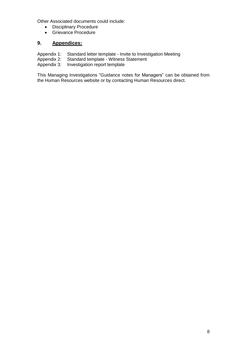Other Associated documents could include:

- Disciplinary Procedure
- Grievance Procedure

# **9. Appendices:**

- Appendix 1: Standard letter template Invite to Investigation Meeting<br>Appendix 2: Standard template Witness Statement
- Standard template Witness Statement
- Appendix 3: Investigation report template

This Managing Investigations "Guidance notes for Managers" can be obtained from the Human Resources website or by contacting Human Resources direct.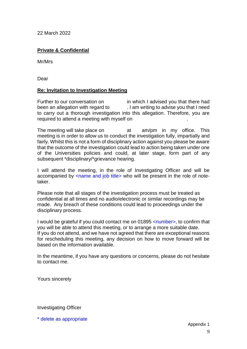22 March 2022

# **Private & Confidential**

Mr/Mrs

Dear

# **Re: Invitation to Investigation Meeting**

Further to our conversation on in which I advised you that there had been an allegation with regard to . I am writing to advise you that I need to carry out a thorough investigation into this allegation. Therefore, you are required to attend a meeting with myself on .

The meeting will take place on at am/pm in my office. This meeting is in order to allow us to conduct the investigation fully, impartially and fairly. Whilst this is not a form of disciplinary action against you please be aware that the outcome of the investigation could lead to action being taken under one of the Universities policies and could, at later stage, form part of any subsequent \*disciplinary/\*grievance hearing.

I will attend the meeting, in the role of Investigating Officer and will be accompanied by <name and job title> who will be present in the role of notetaker.

Please note that all stages of the investigation process must be treated as confidential at all times and no audio/electronic or similar recordings may be made. Any breach of these conditions could lead to proceedings under the disciplinary process.

I would be grateful if you could contact me on 01895 <number>, to confirm that you will be able to attend this meeting, or to arrange a more suitable date. If you do not attend, and we have not agreed that there are exceptional reasons for rescheduling this meeting, any decision on how to move forward will be based on the information available.

In the meantime, if you have any questions or concerns, please do not hesitate to contact me.

Yours sincerely

# Investigating Officer

\* delete as appropriate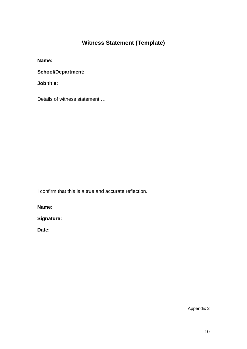# **Witness Statement (Template)**

**Name:**

**School/Department:**

**Job title:** 

Details of witness statement …

I confirm that this is a true and accurate reflection.

**Name:**

**Signature:**

**Date:**

Appendix 2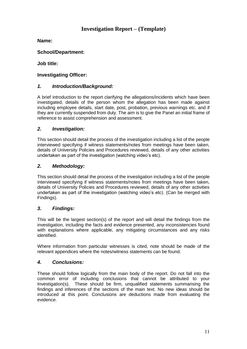# **Investigation Report – (Template)**

**Name:**

**School/Department:**

**Job title:** 

# **Investigating Officer:**

# *1. Introduction/Background:*

A brief introduction to the report clarifying the allegations/incidents which have been investigated, details of the person whom the allegation has been made against including employee details, start date, post, probation, previous warnings etc. and if they are currently suspended from duty. The aim is to give the Panel an initial frame of reference to assist comprehension and assessment.

# *2. Investigation:*

This section should detail the process of the investigation including a list of the people interviewed specifying if witness statements/notes from meetings have been taken, details of University Policies and Procedures reviewed, details of any other activities undertaken as part of the investigation (watching video's etc).

# *2. Methodology:*

This section should detail the process of the investigation including a list of the people interviewed specifying if witness statements/notes from meetings have been taken, details of University Policies and Procedures reviewed, details of any other activities undertaken as part of the investigation (watching video's etc). (Can be merged with Findings).

# *3. Findings:*

This will be the largest section(s) of the report and will detail the findings from the investigation, including the facts and evidence presented, any inconsistencies found with explanations where applicable, any mitigating circumstances and any risks identified.

Where information from particular witnesses is cited, note should be made of the relevant appendices where the notes/witness statements can be found.

# *4. Conclusions:*

These should follow logically from the main body of the report. Do not fall into the common error of including conclusions that cannot be attributed to your Investigation(s). These should be firm, unqualified statements summarising the findings and inferences of the sections of the main text. No new ideas should be introduced at this point. Conclusions are deductions made from evaluating the evidence.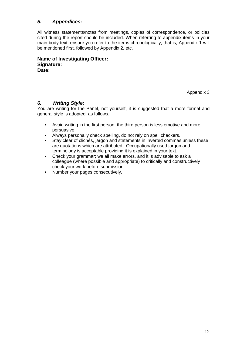# *5. Appendices:*

All witness statements/notes from meetings, copies of correspondence, or policies cited during the report should be included. When referring to appendix items in your main body text, ensure you refer to the items chronologically, that is, Appendix 1 will be mentioned first, followed by Appendix 2, etc.

**Name of Investigating Officer: Signature: Date:**

Appendix 3

# *6. Writing Style:*

You are writing for the Panel, not yourself, it is suggested that a more formal and general style is adopted, as follows.

- Avoid writing in the first person; the third person is less emotive and more persuasive.
- Always personally check spelling, do not rely on spell checkers.
- Stay clear of clichés, jargon and statements in inverted commas unless these are quotations which are attributed. Occupationally used jargon and terminology is acceptable providing it is explained in your text.
- Check your grammar; we all make errors, and it is advisable to ask a colleague (where possible and appropriate) to critically and constructively check your work before submission.
- Number your pages consecutively.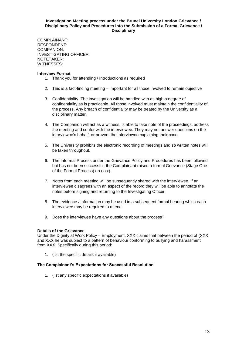#### **Investigation Meeting process under the Brunel University London Grievance / Disciplinary Policy and Procedures into the Submission of a Formal Grievance / Disciplinary**

COMPLAINANT: RESPONDENT: COMPANION: INVESTIGATING OFFICER: NOTETAKER: WITNESSES:

#### **Interview Format**

- 1. Thank you for attending / Introductions as required
- 2. This is a fact-finding meeting important for all those involved to remain objective
- 3. Confidentiality. The investigation will be handled with as high a degree of confidentiality as is practicable. All those involved must maintain the confidentiality of the process. Any breach of confidentiality may be treated by the University as a disciplinary matter.
- 4. The Companion will act as a witness, is able to take note of the proceedings, address the meeting and confer with the interviewee. They may not answer questions on the interviewee's behalf, or prevent the interviewee explaining their case.
- 5. The University prohibits the electronic recording of meetings and so written notes will be taken throughout.
- 6. The Informal Process under the Grievance Policy and Procedures has been followed but has not been successful; the Complainant raised a formal Grievance (Stage One of the Formal Process) on (xxx).
- 7. Notes from each meeting will be subsequently shared with the interviewee. If an interviewee disagrees with an aspect of the record they will be able to annotate the notes before signing and returning to the Investigating Officer.
- 8. The evidence / information may be used in a subsequent formal hearing which each interviewee may be required to attend.
- 9. Does the interviewee have any questions about the process?

# **Details of the Grievance**

Under the Dignity at Work Policy – Employment, XXX claims that between the period of (XXX and XXX he was subject to a pattern of behaviour conforming to bullying and harassment from XXX. Specifically during this period:

1. (list the specific details if available)

# **The Complainant's Expectations for Successful Resolution**

1. (list any specific expectations if available)